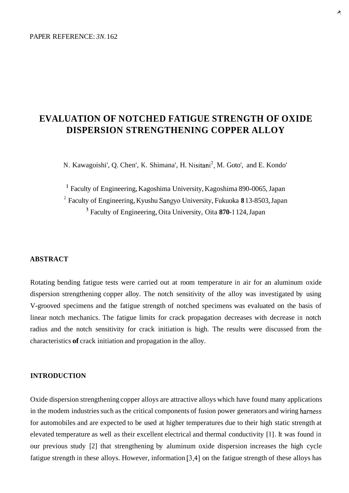# **EVALUATION OF NOTCHED FATIGUE STRENGTH OF OXIDE DISPERSION STRENGTHENING COPPER ALLOY**

N. Kawagoishi', Q. Chen', K. Shimana', H. Nisitani<sup>2</sup>, M. Goto', and E. Kondo'

<sup>1</sup>Faculty of Engineering, Kagoshima University, Kagoshima 890-0065, Japan Faculty of Engineering, Kyushu Sangyo University, Fukuoka **8** 13-8503, Japan 2 ' Faculty of Engineering, Oita University, Oita **870- 1** 124, Japan

### **ABSTRACT**

Rotating bending fatigue tests were carried out at room temperature in air for an aluminum oxide dispersion strengthening copper alloy. The notch sensitivity of the alloy was investigated by using V-grooved specimens and the fatigue strength of notched specimens was evaluated on the basis of linear notch mechanics. The fatigue limits for crack propagation decreases with decrease in notch radius and the notch sensitivity for crack initiation is high. The results were discussed from the characteristics **of** crack initiation and propagation in the alloy.

# **INTRODUCTION**

Oxide dispersion strengthening copper alloys are attractive alloys which have found many applications in the modem industries such as the critical components of fusion power generators and wiring harness for automobiles and are expected to be used at higher temperatures due to their high static strength at elevated temperature as well as their excellent electrical and thermal conductivity [l]. It was found in our previous study [2] that strengthening by aluminum oxide dispersion increases the high cycle fatigue strength in these alloys. However, information [3,4] on the fatigue strength of these alloys has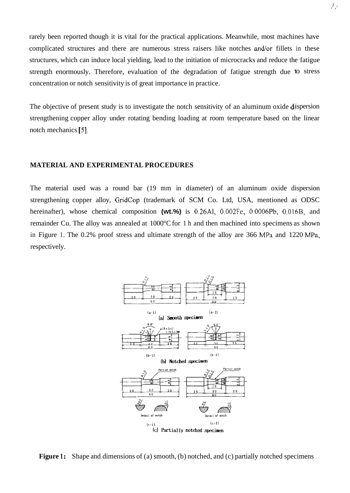rarely been reported though it is vital for the practical applications. Meanwhile, most machines have complicated structures and there are numerous stress raisers like notches and/or fillets in these structures, which can induce local yielding, lead to the initiation of microcracks and reduce the fatigue strength enormously. Therefore, evaluation of the degradation of fatigue strength due to stress concentration or notch sensitivity is of great importance in practice.

The objective of present study is to investigate the notch sensitivity of an aluminum oxide  $\mathbf{d}$  ispersion strengthening copper alloy under rotating bending loading at room temperature based on the linear notch mechanics *[5].* 

### **MATERIAL AND EXPERIMENTAL PROCEDURES**

The material used was a round bar (19 mm in diameter) of an aluminum oxide dispersion strengthening copper alloy, GridCop (trademark of SCM Co. Ltd, USA, mentioned as ODSC hereinafter), whose chemical composition **(wt.%)** is 0.26A1, 0.002Fe, 0.0006Pb, 0.016B, and remainder Cu. The alloy was annealed at 1000°C for 1 h and then machined into specimens as shown in Figure 1. The 0.2% proof stress and ultimate strength of the alloy are 366 MPa and 1220 MPa, respectively.



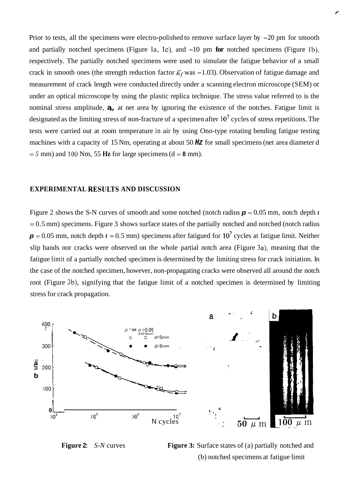Prior to tests, all the specimens were electro-polished to remove surface layer by  $-20$  pm for smooth and partially notched specimens (Figure la, IC), and -10 pm **for** notched specimens (Figure lb), respectively. The partially notched specimens were used to simulate the fatigue behavior of a small crack in smooth ones (the strength reduction factor  $K_f$  was  $-1.03$ ). Observation of fatigue damage and measurement of crack length were conducted directly under a scanning electron microscope (SEM) or under an optical microscope by using the plastic replica technique. The stress value referred to is the nominal stress amplitude, **a,,** at net area by ignoring the existence of the notches. Fatigue limit is designated as the limiting stress of non-fracture of a specimen after  $10<sup>7</sup>$  cycles of stress repetitions. The tests were carried out at room temperature in air by using Ono-type rotating bending fatigue testing machines with a capacity of 15 Nm, operating at about 50 *Hz* for small specimens (net area diameter d  $= 5$  mm) and 100 Nm, 55 Hz for large specimens (d  $= 8$  mm).

## **EXPERIMENTAL RESlJLTS AND DISCUSSION**

Figure 2 shows the S-N curves of smooth and some notched (notch radius  $p = 0.05$  mm, notch depth *t*  $= 0.5$  mm) specimens. Figure 3 shows surface states of the partially notched and notched (notch radius  $p = 0.05$  mm, notch depth  $t = 0.5$  mm) specimens after fatigued for 10<sup>7</sup> cycles at fatigue limit. Neither slip bands nor cracks were observed on the whole partial notch area (Figure 3a), meaning that the fatigue limit of a partially notched specimen is determined by the limiting stress for crack initiation. In the case of the notched specimen, however, non-propagating cracks were observed all around the notch root (Figure 3b), signifying that the fatigue limit of a notched specimen is determined by limiting stress for crack propagation.



**Figure 2:** *S-N* curves **Figure 3:** Surface states of (a) partially notched and (b) notched specimens at fatigue limit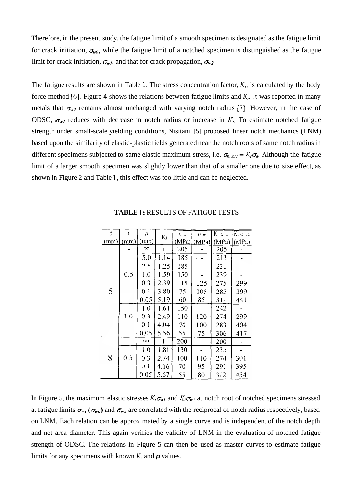Therefore, in the present study, the fatigue limit of a smooth specimen is designated as the fatigue limit for crack initiation,  $\sigma_{w0}$ , while the fatigue limit of a notched specimen is distinguished as the fatigue limit for crack initiation,  $\sigma_{w1}$ , and that for crack propagation,  $\sigma_{w2}$ .

The fatigue results are shown in Table **1.** The stress concentration factor, *K,,* is calculated by the body force method *[6].* Figure **4** shows the relations between fatigue limits and *K,.* It was reported in many metals that  $\sigma_{w2}$  remains almost unchanged with varying notch radius [7]. However, in the case of ODSC,  $\sigma_{w2}$  reduces with decrease in notch radius or increase in  $K_t$ . To estimate notched fatigue strength under small-scale yielding conditions, Nisitani [5] proposed linear notch mechanics (LNM) based upon the similarity of elastic-plastic fields generated near the notch roots of same notch radius in different specimens subjected to same elastic maximum stress, i.e.  $\sigma_{max} = K_t \sigma_a$ . Although the fatigue limit of a larger smooth specimen was slightly lower than that of a smaller one due to size effect, as shown in Figure 2 and Table 1, this effect was too little and can be neglected.

| d    | $\ddagger$ | $\rho$   | Kt   | $\sigma$ wl | $\sigma$ w2   |     | $Kt$ $\sigma$ wi $Kt$ $\sigma$ w2 |
|------|------------|----------|------|-------------|---------------|-----|-----------------------------------|
| (mm) | (mm)       | (mm)     |      |             | $(MPa)$ (MPa) |     | $(MPa)$ (MPa)                     |
| 5    |            | $\infty$ |      | 205         |               | 205 |                                   |
|      |            | 5.0      | 1.14 | 185         |               | 211 |                                   |
|      |            | 2.5      | 1.25 | 185         |               | 231 |                                   |
|      | 0.5        | 1.0      | 1.59 | 150         |               | 239 |                                   |
|      |            | 0.3      | 2.39 | 115         | 125           | 275 | 299                               |
|      |            | 0.1      | 3.80 | 75          | 105           | 285 | 399                               |
|      |            | 0.05     | 5.19 | 60          | 85            | 311 | 441                               |
|      |            | 1.0      | 1.61 | 150         |               | 242 |                                   |
|      | 1.0        | 0.3      | 2.49 | 110         | 120           | 274 | 299                               |
|      |            | 0.1      | 4.04 | 70          | 100           | 283 | 404                               |
|      |            | 0.05     | 5.56 | 55          | 75            | 306 | 417                               |
| 8    |            | $\infty$ |      | 200         |               | 200 |                                   |
|      |            | 1.0      | 1.81 | 130         |               | 235 |                                   |
|      | 0.5        | 0.3      | 2.74 | 100         | 110           | 274 | 301                               |
|      |            | 0.1      | 4.16 | 70          | 95            | 291 | 395                               |
|      |            | 0.05     | 5.67 | 55          | 80            | 312 | 454                               |

**TABLE 1:** RESULTS OF FATIGUE TESTS

In Figure 5, the maximum elastic stresses  $K_t \sigma_{w_l}$  and  $K_t \sigma_{w_l}$  at notch root of notched specimens stressed at fatigue limits  $\sigma_{w_l}(\sigma_{w_l})$  and  $\sigma_{w_l}$  are correlated with the reciprocal of notch radius respectively, based on LNM. Each relation can be approximated by a single curve and is independent of the notch depth and net area diameter. This again verifies the validity of LNM in the evaluation of notched fatigue strength of ODSC. The relations in Figure 5 can then be used as master curves to estimate fatigue limits for any specimens with known *K,* and *p* values.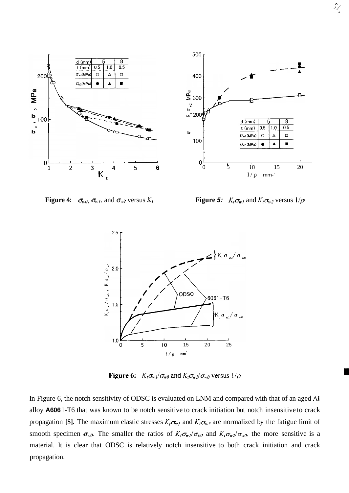

**Figure 4:**  $\sigma_{w0}, \sigma_{w1}, \text{ and } \sigma_{w2} \text{ versus } K_t$ 

**Figure 5:**  $K_t \sigma_{w_l}$  and  $K_t \sigma_{w_2}$  versus  $1/\rho$ 

 $\mathcal{L}_{\mathcal{L}}$ 



Figure 6:  $K_t \sigma_{w} / \sigma_{w0}$  and  $K_t \sigma_{w2} / \sigma_{w0}$  versus  $1/\rho$ 

In Figure 6, the notch sensitivity of ODSC is evaluated on LNM and compared with that of an aged **AI**  alloy **A606** 1 -T6 that was known to be notch sensitive to crack initiation but notch insensitive to crack propagation **[S].** The maximum elastic stresses  $K_t \sigma_{w1}$  and  $K_t \sigma_{w2}$  are normalized by the fatigue limit of smooth specimen  $\sigma_{w0}$ . The smaller the ratios of  $K_{\ell} \sigma_{w1} / \sigma_{w0}$  and  $K_{\ell} \sigma_{w2} / \sigma_{w0}$ , the more sensitive is a material. It is clear that ODSC is relatively notch insensitive to both crack initiation and crack propagation.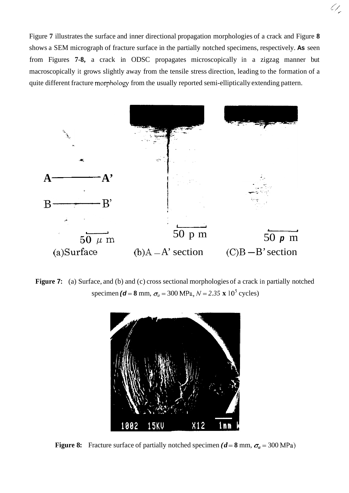Figure **7** illustrates the surface and inner directional propagation morphologies of a crack and Figure **8**  shows a SEM micrograph of fracture surface in the partially notched specimens, respectively. **As** seen from Figures **7-8,** a crack in ODSC propagates microscopically in a zigzag manner but macroscopically it grows slightly away from the tensile stress direction, leading to the formation of a quite different fracture morphology from the usually reported semi-elliptically extending pattern.

67,



**Figure 7:** (a) Surface, and (b) and (c) cross sectional morphologies of a crack in partially notched specimen *(d* = 8 mm,  $\sigma_a$  = 300 MPa,  $N = 2.35 \times 10^5$  cycles)



**Figure 8:** Fracture surface of partially notched specimen  $(d = 8 \text{ mm}, \sigma_a = 300 \text{ MPa})$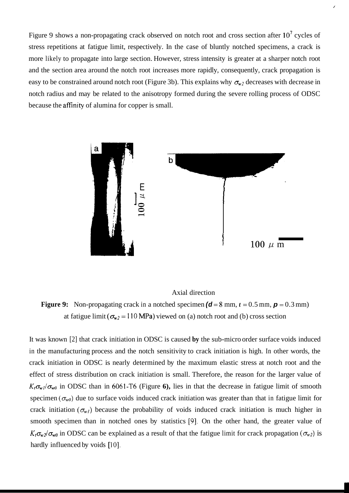Figure 9 shows a non-propagating crack observed on notch root and cross section after  $10^7$  cycles of stress repetitions at fatigue limit, respectively. In the case of bluntly notched specimens, a crack is more likely to propagate into large section. However, stress intensity is greater at a sharper notch root and the section area around the notch root increases more rapidly, consequently, crack propagation is easy to be constrained around notch root (Figure 3b). This explains why  $\sigma_{w2}$  decreases with decrease in notch radius and may be related to the anisotropy formed during the severe rolling process of ODSC because the affinity of alumina for copper is small.

/



# Axial direction

**Figure 9:** Non-propagating crack in a notched specimen  $(d = 8 \text{ mm}, t = 0.5 \text{ mm}, p = 0.3 \text{ mm})$ at fatigue limit  $(\sigma_{w2} = 110 \text{ MPa})$  viewed on (a) notch root and (b) cross section

It was known [2] that crack initiation in ODSC is caused **by** the sub-micro order surface voids induced in the manufacturing process and the notch sensitivity to crack initiation is high. In other words, the crack initiation in ODSC is nearly determined by the maximum elastic stress at notch root and the effect of stress distribution on crack initiation is small. Therefore, the reason for the larger value of  $K_t \sigma_{w}$ / $\sigma_{w0}$  in ODSC than in 6061-T6 (Figure 6), lies in that the decrease in fatigue limit of smooth specimen  $(\sigma_{w0})$  due to surface voids induced crack initiation was greater than that in fatigue limit for crack initiation  $(\sigma_{w_l})$  because the probability of voids induced crack initiation is much higher in smooth specimen than in notched ones by statistics *[9].* On the other hand, the greater value of  $K_t \sigma_{w2}/\sigma_{w0}$  in ODSC can be explained as a result of that the fatigue limit for crack propagation ( $\sigma_{w2}$ ) is hardly influenced by voids [10].